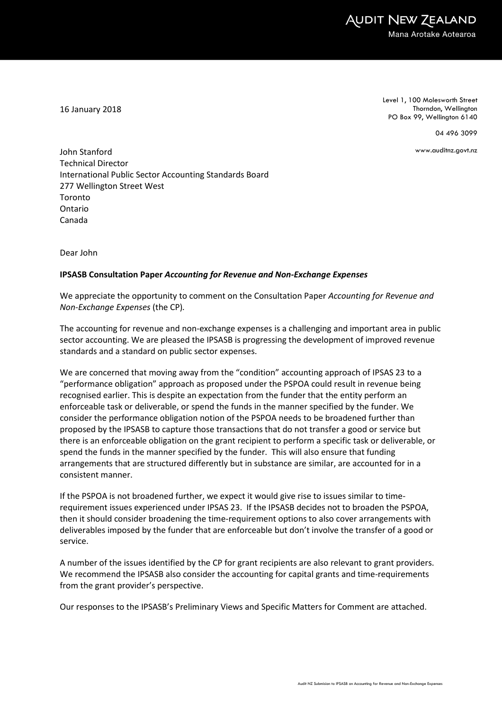16 January 2018

Level 1, 100 Molesworth Street Thorndon, Wellington PO Box 99, Wellington 6140

04 496 3099

www.auditnz.govt.nz

John Stanford Technical Director International Public Sector Accounting Standards Board 277 Wellington Street West Toronto Ontario Canada

Dear John

#### IPSASB Consultation Paper Accounting for Revenue and Non-Exchange Expenses

We appreciate the opportunity to comment on the Consultation Paper Accounting for Revenue and Non-Exchange Expenses (the CP).

The accounting for revenue and non-exchange expenses is a challenging and important area in public sector accounting. We are pleased the IPSASB is progressing the development of improved revenue standards and a standard on public sector expenses.

We are concerned that moving away from the "condition" accounting approach of IPSAS 23 to a "performance obligation" approach as proposed under the PSPOA could result in revenue being recognised earlier. This is despite an expectation from the funder that the entity perform an enforceable task or deliverable, or spend the funds in the manner specified by the funder. We consider the performance obligation notion of the PSPOA needs to be broadened further than proposed by the IPSASB to capture those transactions that do not transfer a good or service but there is an enforceable obligation on the grant recipient to perform a specific task or deliverable, or spend the funds in the manner specified by the funder. This will also ensure that funding arrangements that are structured differently but in substance are similar, are accounted for in a consistent manner.

If the PSPOA is not broadened further, we expect it would give rise to issues similar to timerequirement issues experienced under IPSAS 23. If the IPSASB decides not to broaden the PSPOA, then it should consider broadening the time-requirement options to also cover arrangements with deliverables imposed by the funder that are enforceable but don't involve the transfer of a good or service.

A number of the issues identified by the CP for grant recipients are also relevant to grant providers. We recommend the IPSASB also consider the accounting for capital grants and time-requirements from the grant provider's perspective.

Our responses to the IPSASB's Preliminary Views and Specific Matters for Comment are attached.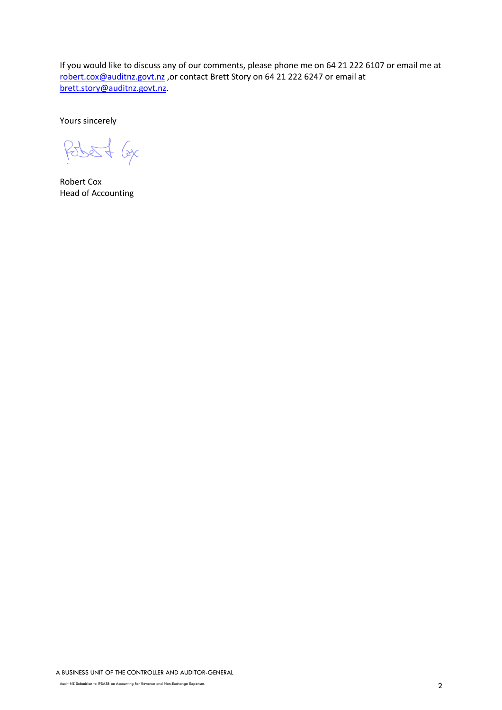If you would like to discuss any of our comments, please phone me on 64 21 222 6107 or email me at robert.cox@auditnz.govt.nz ,or contact Brett Story on 64 21 222 6247 or email at brett.story@auditnz.govt.nz.

Yours sincerely

Pobert 6x

Robert Cox Head of Accounting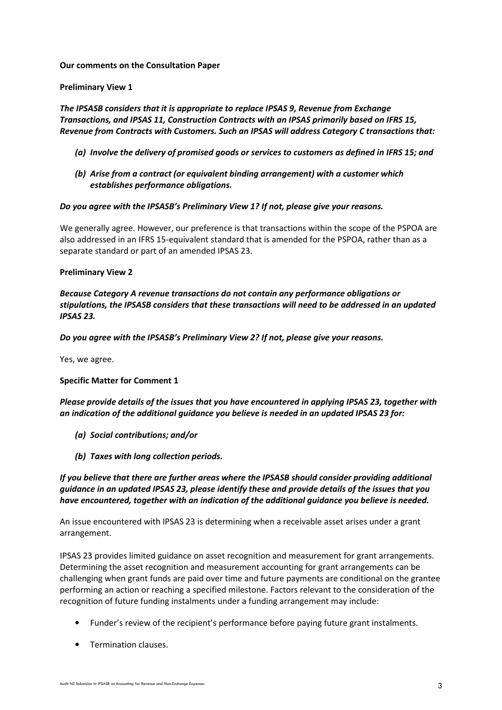#### Our comments on the Consultation Paper

#### Preliminary View 1

The IPSASB considers that it is appropriate to replace IPSAS 9, Revenue from Exchange Transactions, and IPSAS 11, Construction Contracts with an IPSAS primarily based on IFRS 15, Revenue from Contracts with Customers. Such an IPSAS will address Category C transactions that:

- (a) Involve the delivery of promised goods or services to customers as defined in IFRS 15; and
- (b) Arise from a contract (or equivalent binding arrangement) with a customer which establishes performance obligations.

#### Do you agree with the IPSASB's Preliminary View 1? If not, please give your reasons.

We generally agree. However, our preference is that transactions within the scope of the PSPOA are also addressed in an IFRS 15-equivalent standard that is amended for the PSPOA, rather than as a separate standard or part of an amended IPSAS 23.

#### Preliminary View 2

Because Category A revenue transactions do not contain any performance obligations or stipulations, the IPSASB considers that these transactions will need to be addressed in an updated IPSAS 23.

Do you agree with the IPSASB's Preliminary View 2? If not, please give your reasons.

Yes, we agree.

## Specific Matter for Comment 1

Please provide details of the issues that you have encountered in applying IPSAS 23, together with an indication of the additional guidance you believe is needed in an updated IPSAS 23 for:

- (a) Social contributions; and/or
- (b) Taxes with long collection periods.

If you believe that there are further areas where the IPSASB should consider providing additional guidance in an updated IPSAS 23, please identify these and provide details of the issues that you have encountered, together with an indication of the additional guidance you believe is needed.

An issue encountered with IPSAS 23 is determining when a receivable asset arises under a grant arrangement.

IPSAS 23 provides limited guidance on asset recognition and measurement for grant arrangements. Determining the asset recognition and measurement accounting for grant arrangements can be challenging when grant funds are paid over time and future payments are conditional on the grantee performing an action or reaching a specified milestone. Factors relevant to the consideration of the recognition of future funding instalments under a funding arrangement may include:

- Funder's review of the recipient's performance before paying future grant instalments.
- Termination clauses.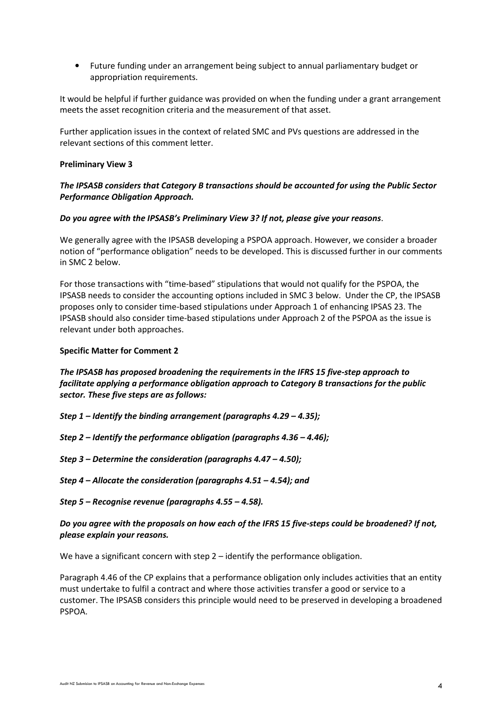• Future funding under an arrangement being subject to annual parliamentary budget or appropriation requirements.

It would be helpful if further guidance was provided on when the funding under a grant arrangement meets the asset recognition criteria and the measurement of that asset.

Further application issues in the context of related SMC and PVs questions are addressed in the relevant sections of this comment letter.

#### Preliminary View 3

# The IPSASB considers that Category B transactions should be accounted for using the Public Sector Performance Obligation Approach.

#### Do you agree with the IPSASB's Preliminary View 3? If not, please give your reasons.

We generally agree with the IPSASB developing a PSPOA approach. However, we consider a broader notion of "performance obligation" needs to be developed. This is discussed further in our comments in SMC 2 below.

For those transactions with "time-based" stipulations that would not qualify for the PSPOA, the IPSASB needs to consider the accounting options included in SMC 3 below. Under the CP, the IPSASB proposes only to consider time-based stipulations under Approach 1 of enhancing IPSAS 23. The IPSASB should also consider time-based stipulations under Approach 2 of the PSPOA as the issue is relevant under both approaches.

#### Specific Matter for Comment 2

# The IPSASB has proposed broadening the requirements in the IFRS 15 five-step approach to facilitate applying a performance obligation approach to Category B transactions for the public sector. These five steps are as follows:

- Step 1 Identify the binding arrangement (paragraphs 4.29 4.35);
- Step 2 Identify the performance obligation (paragraphs 4.36 4.46);
- Step 3 Determine the consideration (paragraphs 4.47 4.50);
- Step 4 Allocate the consideration (paragraphs 4.51 4.54); and

## Step 5 – Recognise revenue (paragraphs 4.55 – 4.58).

## Do you agree with the proposals on how each of the IFRS 15 five-steps could be broadened? If not, please explain your reasons.

We have a significant concern with step 2 – identify the performance obligation.

Paragraph 4.46 of the CP explains that a performance obligation only includes activities that an entity must undertake to fulfil a contract and where those activities transfer a good or service to a customer. The IPSASB considers this principle would need to be preserved in developing a broadened PSPOA.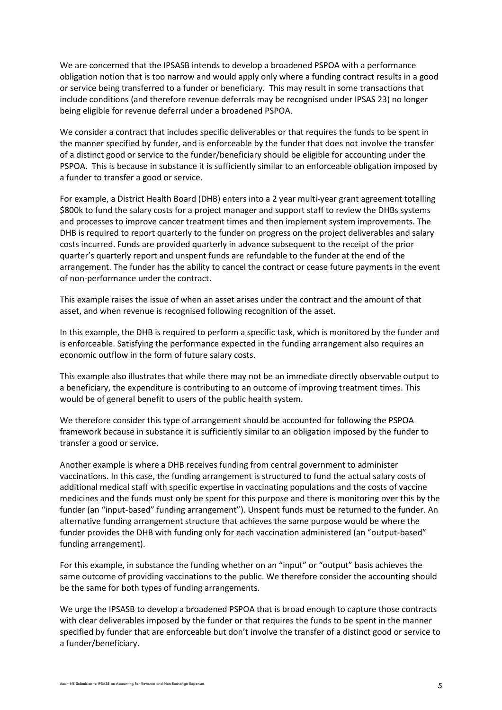We are concerned that the IPSASB intends to develop a broadened PSPOA with a performance obligation notion that is too narrow and would apply only where a funding contract results in a good or service being transferred to a funder or beneficiary. This may result in some transactions that include conditions (and therefore revenue deferrals may be recognised under IPSAS 23) no longer being eligible for revenue deferral under a broadened PSPOA.

We consider a contract that includes specific deliverables or that requires the funds to be spent in the manner specified by funder, and is enforceable by the funder that does not involve the transfer of a distinct good or service to the funder/beneficiary should be eligible for accounting under the PSPOA. This is because in substance it is sufficiently similar to an enforceable obligation imposed by a funder to transfer a good or service.

For example, a District Health Board (DHB) enters into a 2 year multi-year grant agreement totalling \$800k to fund the salary costs for a project manager and support staff to review the DHBs systems and processes to improve cancer treatment times and then implement system improvements. The DHB is required to report quarterly to the funder on progress on the project deliverables and salary costs incurred. Funds are provided quarterly in advance subsequent to the receipt of the prior quarter's quarterly report and unspent funds are refundable to the funder at the end of the arrangement. The funder has the ability to cancel the contract or cease future payments in the event of non-performance under the contract.

This example raises the issue of when an asset arises under the contract and the amount of that asset, and when revenue is recognised following recognition of the asset.

In this example, the DHB is required to perform a specific task, which is monitored by the funder and is enforceable. Satisfying the performance expected in the funding arrangement also requires an economic outflow in the form of future salary costs.

This example also illustrates that while there may not be an immediate directly observable output to a beneficiary, the expenditure is contributing to an outcome of improving treatment times. This would be of general benefit to users of the public health system.

We therefore consider this type of arrangement should be accounted for following the PSPOA framework because in substance it is sufficiently similar to an obligation imposed by the funder to transfer a good or service.

Another example is where a DHB receives funding from central government to administer vaccinations. In this case, the funding arrangement is structured to fund the actual salary costs of additional medical staff with specific expertise in vaccinating populations and the costs of vaccine medicines and the funds must only be spent for this purpose and there is monitoring over this by the funder (an "input-based" funding arrangement"). Unspent funds must be returned to the funder. An alternative funding arrangement structure that achieves the same purpose would be where the funder provides the DHB with funding only for each vaccination administered (an "output-based" funding arrangement).

For this example, in substance the funding whether on an "input" or "output" basis achieves the same outcome of providing vaccinations to the public. We therefore consider the accounting should be the same for both types of funding arrangements.

We urge the IPSASB to develop a broadened PSPOA that is broad enough to capture those contracts with clear deliverables imposed by the funder or that requires the funds to be spent in the manner specified by funder that are enforceable but don't involve the transfer of a distinct good or service to a funder/beneficiary.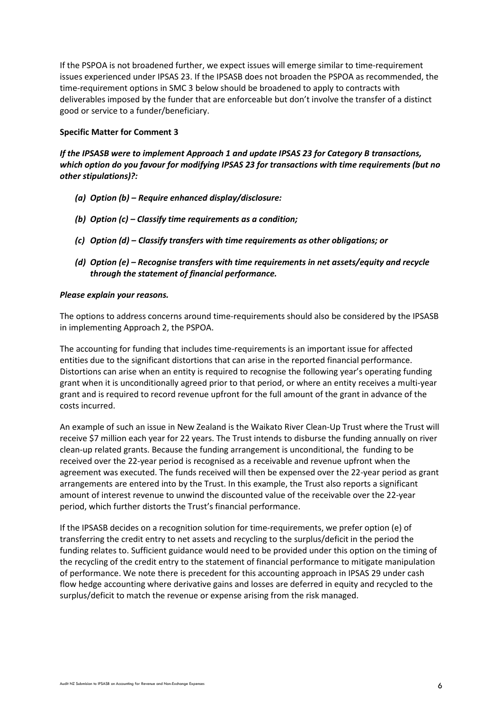If the PSPOA is not broadened further, we expect issues will emerge similar to time-requirement issues experienced under IPSAS 23. If the IPSASB does not broaden the PSPOA as recommended, the time-requirement options in SMC 3 below should be broadened to apply to contracts with deliverables imposed by the funder that are enforceable but don't involve the transfer of a distinct good or service to a funder/beneficiary.

#### Specific Matter for Comment 3

If the IPSASB were to implement Approach 1 and update IPSAS 23 for Category B transactions, which option do you favour for modifying IPSAS 23 for transactions with time requirements (but no other stipulations)?:

- (a) Option (b) Require enhanced display/disclosure:
- (b) Option (c) Classify time requirements as a condition;
- (c) Option (d) Classify transfers with time requirements as other obligations; or
- (d) Option (e) Recognise transfers with time requirements in net assets/equity and recycle through the statement of financial performance.

#### Please explain your reasons.

The options to address concerns around time-requirements should also be considered by the IPSASB in implementing Approach 2, the PSPOA.

The accounting for funding that includes time-requirements is an important issue for affected entities due to the significant distortions that can arise in the reported financial performance. Distortions can arise when an entity is required to recognise the following year's operating funding grant when it is unconditionally agreed prior to that period, or where an entity receives a multi-year grant and is required to record revenue upfront for the full amount of the grant in advance of the costs incurred.

An example of such an issue in New Zealand is the Waikato River Clean-Up Trust where the Trust will receive \$7 million each year for 22 years. The Trust intends to disburse the funding annually on river clean-up related grants. Because the funding arrangement is unconditional, the funding to be received over the 22-year period is recognised as a receivable and revenue upfront when the agreement was executed. The funds received will then be expensed over the 22-year period as grant arrangements are entered into by the Trust. In this example, the Trust also reports a significant amount of interest revenue to unwind the discounted value of the receivable over the 22-year period, which further distorts the Trust's financial performance.

If the IPSASB decides on a recognition solution for time-requirements, we prefer option (e) of transferring the credit entry to net assets and recycling to the surplus/deficit in the period the funding relates to. Sufficient guidance would need to be provided under this option on the timing of the recycling of the credit entry to the statement of financial performance to mitigate manipulation of performance. We note there is precedent for this accounting approach in IPSAS 29 under cash flow hedge accounting where derivative gains and losses are deferred in equity and recycled to the surplus/deficit to match the revenue or expense arising from the risk managed.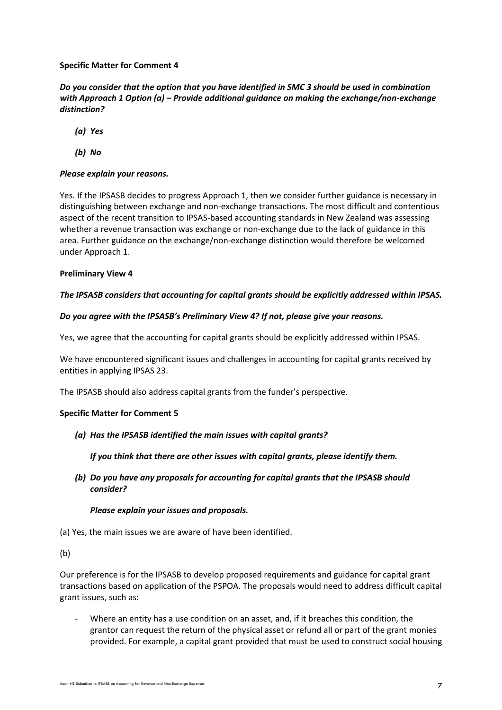# Specific Matter for Comment 4

Do you consider that the option that you have identified in SMC 3 should be used in combination with Approach 1 Option (a) – Provide additional guidance on making the exchange/non-exchange distinction?

(a) Yes

(b) No

# Please explain your reasons.

Yes. If the IPSASB decides to progress Approach 1, then we consider further guidance is necessary in distinguishing between exchange and non-exchange transactions. The most difficult and contentious aspect of the recent transition to IPSAS-based accounting standards in New Zealand was assessing whether a revenue transaction was exchange or non-exchange due to the lack of guidance in this area. Further guidance on the exchange/non-exchange distinction would therefore be welcomed under Approach 1.

## Preliminary View 4

## The IPSASB considers that accounting for capital grants should be explicitly addressed within IPSAS.

#### Do you agree with the IPSASB's Preliminary View 4? If not, please give your reasons.

Yes, we agree that the accounting for capital grants should be explicitly addressed within IPSAS.

We have encountered significant issues and challenges in accounting for capital grants received by entities in applying IPSAS 23.

The IPSASB should also address capital grants from the funder's perspective.

## Specific Matter for Comment 5

(a) Has the IPSASB identified the main issues with capital grants?

If you think that there are other issues with capital grants, please identify them.

(b) Do you have any proposals for accounting for capital grants that the IPSASB should consider?

#### Please explain your issues and proposals.

(a) Yes, the main issues we are aware of have been identified.

(b)

Our preference is for the IPSASB to develop proposed requirements and guidance for capital grant transactions based on application of the PSPOA. The proposals would need to address difficult capital grant issues, such as:

Where an entity has a use condition on an asset, and, if it breaches this condition, the grantor can request the return of the physical asset or refund all or part of the grant monies provided. For example, a capital grant provided that must be used to construct social housing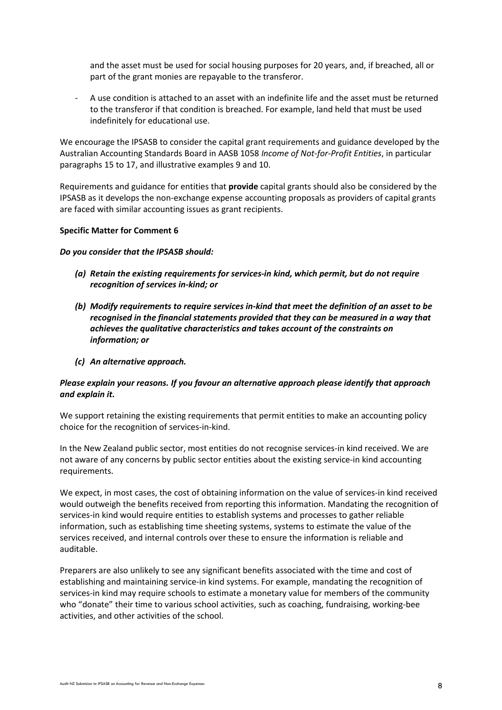and the asset must be used for social housing purposes for 20 years, and, if breached, all or part of the grant monies are repayable to the transferor.

- A use condition is attached to an asset with an indefinite life and the asset must be returned to the transferor if that condition is breached. For example, land held that must be used indefinitely for educational use.

We encourage the IPSASB to consider the capital grant requirements and guidance developed by the Australian Accounting Standards Board in AASB 1058 Income of Not-for-Profit Entities, in particular paragraphs 15 to 17, and illustrative examples 9 and 10.

Requirements and guidance for entities that **provide** capital grants should also be considered by the IPSASB as it develops the non-exchange expense accounting proposals as providers of capital grants are faced with similar accounting issues as grant recipients.

## Specific Matter for Comment 6

Do you consider that the IPSASB should:

- (a) Retain the existing requirements for services-in kind, which permit, but do not require recognition of services in-kind; or
- (b) Modify requirements to require services in-kind that meet the definition of an asset to be recognised in the financial statements provided that they can be measured in a way that achieves the qualitative characteristics and takes account of the constraints on information; or
- (c) An alternative approach.

## Please explain your reasons. If you favour an alternative approach please identify that approach and explain it.

We support retaining the existing requirements that permit entities to make an accounting policy choice for the recognition of services-in-kind.

In the New Zealand public sector, most entities do not recognise services-in kind received. We are not aware of any concerns by public sector entities about the existing service-in kind accounting requirements.

We expect, in most cases, the cost of obtaining information on the value of services-in kind received would outweigh the benefits received from reporting this information. Mandating the recognition of services-in kind would require entities to establish systems and processes to gather reliable information, such as establishing time sheeting systems, systems to estimate the value of the services received, and internal controls over these to ensure the information is reliable and auditable.

Preparers are also unlikely to see any significant benefits associated with the time and cost of establishing and maintaining service-in kind systems. For example, mandating the recognition of services-in kind may require schools to estimate a monetary value for members of the community who "donate" their time to various school activities, such as coaching, fundraising, working-bee activities, and other activities of the school.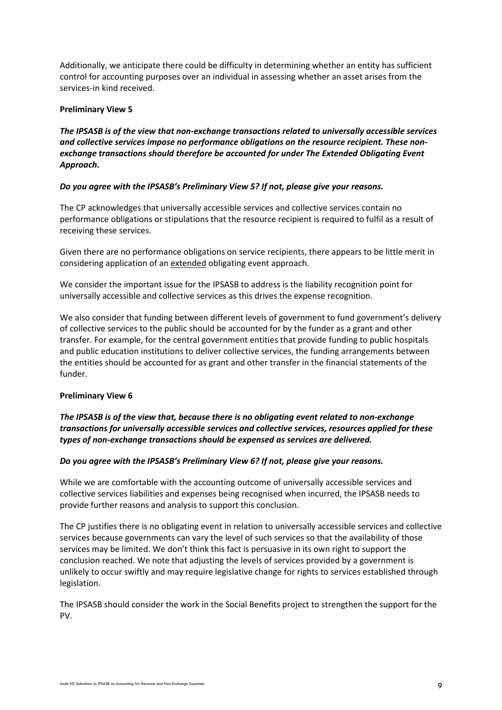Additionally, we anticipate there could be difficulty in determining whether an entity has sufficient control for accounting purposes over an individual in assessing whether an asset arises from the services-in kind received.

# Preliminary View 5

The IPSASB is of the view that non-exchange transactions related to universally accessible services and collective services impose no performance obligations on the resource recipient. These nonexchange transactions should therefore be accounted for under The Extended Obligating Event Approach.

# Do you agree with the IPSASB's Preliminary View 5? If not, please give your reasons.

The CP acknowledges that universally accessible services and collective services contain no performance obligations or stipulations that the resource recipient is required to fulfil as a result of receiving these services.

Given there are no performance obligations on service recipients, there appears to be little merit in considering application of an extended obligating event approach.

We consider the important issue for the IPSASB to address is the liability recognition point for universally accessible and collective services as this drives the expense recognition.

We also consider that funding between different levels of government to fund government's delivery of collective services to the public should be accounted for by the funder as a grant and other transfer. For example, for the central government entities that provide funding to public hospitals and public education institutions to deliver collective services, the funding arrangements between the entities should be accounted for as grant and other transfer in the financial statements of the funder.

## Preliminary View 6

The IPSASB is of the view that, because there is no obligating event related to non-exchange transactions for universally accessible services and collective services, resources applied for these types of non-exchange transactions should be expensed as services are delivered.

# Do you agree with the IPSASB's Preliminary View 6? If not, please give your reasons.

While we are comfortable with the accounting outcome of universally accessible services and collective services liabilities and expenses being recognised when incurred, the IPSASB needs to provide further reasons and analysis to support this conclusion.

The CP justifies there is no obligating event in relation to universally accessible services and collective services because governments can vary the level of such services so that the availability of those services may be limited. We don't think this fact is persuasive in its own right to support the conclusion reached. We note that adjusting the levels of services provided by a government is unlikely to occur swiftly and may require legislative change for rights to services established through legislation.

The IPSASB should consider the work in the Social Benefits project to strengthen the support for the PV.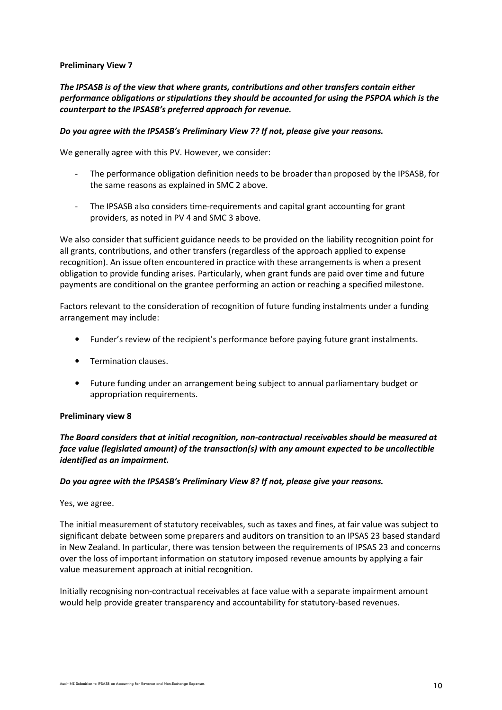## Preliminary View 7

The IPSASB is of the view that where grants, contributions and other transfers contain either performance obligations or stipulations they should be accounted for using the PSPOA which is the counterpart to the IPSASB's preferred approach for revenue.

## Do you agree with the IPSASB's Preliminary View 7? If not, please give your reasons.

We generally agree with this PV. However, we consider:

- The performance obligation definition needs to be broader than proposed by the IPSASB, for the same reasons as explained in SMC 2 above.
- The IPSASB also considers time-requirements and capital grant accounting for grant providers, as noted in PV 4 and SMC 3 above.

We also consider that sufficient guidance needs to be provided on the liability recognition point for all grants, contributions, and other transfers (regardless of the approach applied to expense recognition). An issue often encountered in practice with these arrangements is when a present obligation to provide funding arises. Particularly, when grant funds are paid over time and future payments are conditional on the grantee performing an action or reaching a specified milestone.

Factors relevant to the consideration of recognition of future funding instalments under a funding arrangement may include:

- Funder's review of the recipient's performance before paying future grant instalments.
- Termination clauses.
- Future funding under an arrangement being subject to annual parliamentary budget or appropriation requirements.

## Preliminary view 8

The Board considers that at initial recognition, non-contractual receivables should be measured at face value (legislated amount) of the transaction(s) with any amount expected to be uncollectible identified as an impairment.

## Do you agree with the IPSASB's Preliminary View 8? If not, please give your reasons.

Yes, we agree.

The initial measurement of statutory receivables, such as taxes and fines, at fair value was subject to significant debate between some preparers and auditors on transition to an IPSAS 23 based standard in New Zealand. In particular, there was tension between the requirements of IPSAS 23 and concerns over the loss of important information on statutory imposed revenue amounts by applying a fair value measurement approach at initial recognition.

Initially recognising non-contractual receivables at face value with a separate impairment amount would help provide greater transparency and accountability for statutory-based revenues.